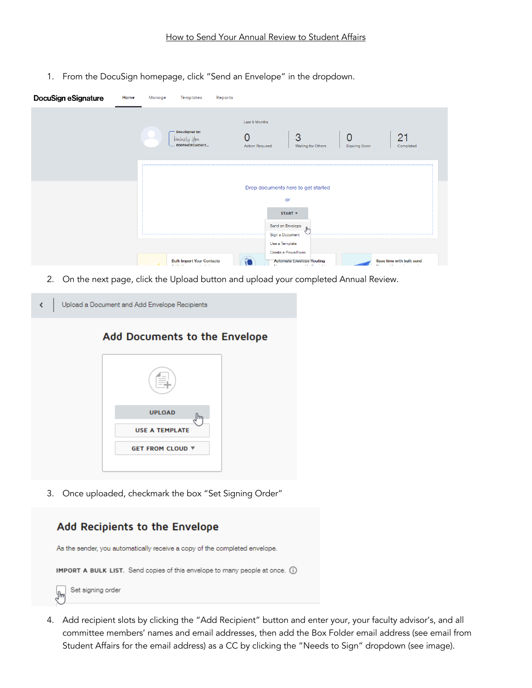1. From the DocuSign homepage, click "Send an Envelope" in the dropdown.

| DocuSign eSignature | Home | Manage<br>Templates                                                    | Reports |                                                                                                                  |                                                                      |                      |                                                             |
|---------------------|------|------------------------------------------------------------------------|---------|------------------------------------------------------------------------------------------------------------------|----------------------------------------------------------------------|----------------------|-------------------------------------------------------------|
|                     |      | DocuSigned by:<br>teinberly <i>you</i><br>ED6F04DECA63415              |         | Last 6 Months<br><b>Action Required</b>                                                                          | 3<br>Waiting for Others                                              | <b>Expiring Soon</b> | 21<br>Completed                                             |
|                     |      | <u> Leonardon e esperanto</u>                                          |         | Drop documents here to get started<br>or<br>START <b>v</b><br>Send an Envelope<br>Sign a Document<br>----------- |                                                                      |                      |                                                             |
|                     |      | <b>Bulk Import Your Contacts</b><br>Audiel all concentrations and here |         | Use a Template<br>Create a PowerForm                                                                             | <b>Automate Envelope Routing</b><br>Macrossor was would be the stake |                      | Save time with bulk send<br>Minimum and the moment momentum |

2. On the next page, click the Upload button and upload your completed Annual Review.

| Add Documents to the Envelope |
|-------------------------------|
|                               |
|                               |
|                               |
| <b>UPLOAD</b><br>lhm          |
| <b>USE A TEMPLATE</b>         |
| <b>GET FROM CLOUD ▼</b>       |
|                               |

3. Once uploaded, checkmark the box "Set Signing Order"



4. Add recipient slots by clicking the "Add Recipient" button and enter your, your faculty advisor's, and all committee members' names and email addresses, then add the Box Folder email address (see email from Student Affairs for the email address) as a CC by clicking the "Needs to Sign" dropdown (see image).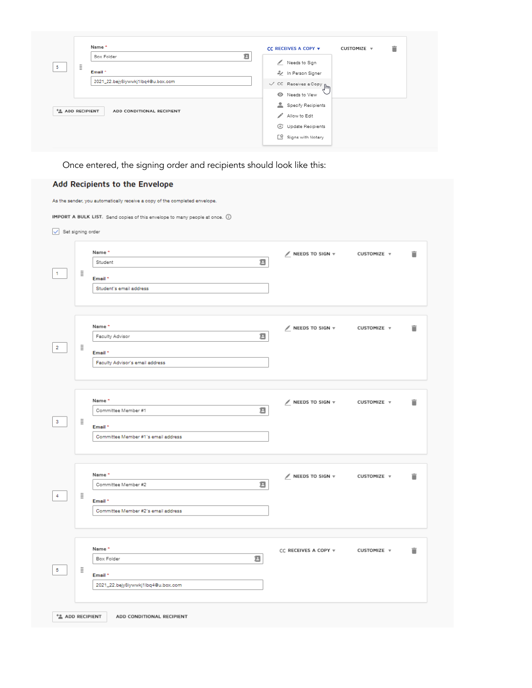|                              | Name*                              | CC RECEIVES A COPY v                     | î<br>CUSTOMIZE v |
|------------------------------|------------------------------------|------------------------------------------|------------------|
|                              | в<br>Box Folder                    | Needs to Sign                            |                  |
| Ħ<br>5                       |                                    |                                          |                  |
|                              | Email *                            | 2 In Person Signer                       |                  |
|                              | 2021_22.bejy8iywwkj1lbq4@u.box.com | $\checkmark$ CC Receives a Copy $\int_M$ |                  |
|                              |                                    | <sup>O</sup> Needs to View               |                  |
|                              |                                    | Specify Recipients                       |                  |
| <sup>+</sup> 2 ADD RECIPIENT | ADD CONDITIONAL RECIPIENT          | Allow to Edit                            |                  |
|                              |                                    | C Update Recipients                      |                  |
|                              |                                    | Signs with Notary                        |                  |

Once entered, the signing order and recipients should look like this:

## Add Recipients to the Envelope

| As the sender, you automatically receive a copy of the completed envelope.   |            |                                                                                     |                                        |             |   |  |  |  |
|------------------------------------------------------------------------------|------------|-------------------------------------------------------------------------------------|----------------------------------------|-------------|---|--|--|--|
| IMPORT A BULK LIST. Send copies of this envelope to many people at once. (i) |            |                                                                                     |                                        |             |   |  |  |  |
| Set signing order                                                            |            |                                                                                     |                                        |             |   |  |  |  |
| 1                                                                            | $\ddot{z}$ | Name*<br>в<br>Student<br>Email *<br>Student's email address                         | $\mathcal N$ NEEDS TO SIGN $\mathbf v$ | CUSTOMIZE v | î |  |  |  |
| $\overline{\mathbf{2}}$                                                      | ÷          | Name*<br>в<br>Faculty Advisor<br>Email *<br>Faculty Advisor's email address         | $\mathcal N$ NEEDS TO SIGN $\nabla$    | CUSTOMIZE v | î |  |  |  |
| 3                                                                            | $\ddot{z}$ | Name*<br>в<br>Committee Member #1<br>Email *<br>Committee Member #1's email address | $\angle$ NEEDS TO SIGN $\forall$       | CUSTOMIZE v | î |  |  |  |
| 4                                                                            | $\ddot{z}$ | Name*<br>Ξ<br>Committee Member #2<br>Email *<br>Committee Member #2's email address | $\angle$ NEEDS TO SIGN $\triangledown$ | CUSTOMIZE v | î |  |  |  |
| 5                                                                            | Η          | Name *<br>Ξ<br>Box Folder<br>Email *<br>2021_22.bejy8iywwkj1lbq4@u.box.com          | CC RECEIVES A COPY $\forall$           | CUSTOMIZE v | î |  |  |  |
| <sup>+</sup> <sup>2</sup> ADD RECIPIENT                                      |            | ADD CONDITIONAL RECIPIENT                                                           |                                        |             |   |  |  |  |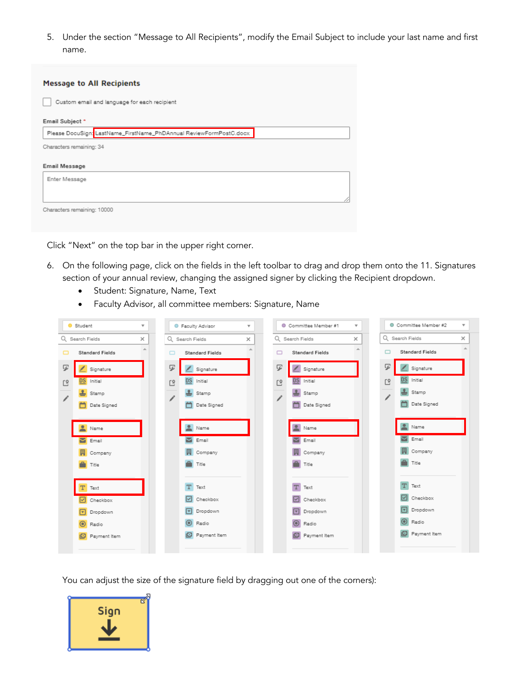5. Under the section "Message to All Recipients", modify the Email Subject to include your last name and first name.

| <b>Message to All Recipients</b>                                   |  |  |  |  |  |  |
|--------------------------------------------------------------------|--|--|--|--|--|--|
| Custom email and language for each recipient                       |  |  |  |  |  |  |
| Email Subject *                                                    |  |  |  |  |  |  |
| Please DocuSign: LastName_FirstName_PhDAnnual ReviewFormPostC.docx |  |  |  |  |  |  |
| Characters remaining: 34                                           |  |  |  |  |  |  |
| Email Message                                                      |  |  |  |  |  |  |
| Enter Message                                                      |  |  |  |  |  |  |
| Characters remaining: 10000                                        |  |  |  |  |  |  |

Click "Next" on the top bar in the upper right corner.

- 6. On the following page, click on the fields in the left toolbar to drag and drop them onto the 11. Signatures section of your annual review, changing the assigned signer by clicking the Recipient dropdown.
	- Student: Signature, Name, Text
	- Faculty Advisor, all committee members: Signature, Name

|    | Student<br>$\overline{\mathbf{v}}$ |                | <b>C</b> Faculty Advisor | $\overline{\mathbf{v}}$ |                | Committee Member #1    | $\overline{\mathbf{v}}$ | Committee Member #2    | $\overline{\mathbf{v}}$ |
|----|------------------------------------|----------------|--------------------------|-------------------------|----------------|------------------------|-------------------------|------------------------|-------------------------|
|    | Q Search Fields<br>×               |                | Q Search Fields          | ×                       |                | Q Search Fields        | $\times$                | Q Search Fields        | ×                       |
| □  | 人<br><b>Standard Fields</b>        |                | <b>Standard Fields</b>   | 盀                       |                | <b>Standard Fields</b> | $\Delta \mathbf{k}$     | <b>Standard Fields</b> | 业                       |
| ダ  | Signature                          | ヮ              | Signature                |                         | Ψ              | $\angle$ Signature     |                         | Γ<br>Signature         |                         |
| L8 | Initial                            | L <sub>8</sub> | <b>DS</b><br>Initial     |                         | L <sup>9</sup> | <b>DS</b> Initial      |                         | Initial<br>L8          |                         |
|    | 족<br>Stamp                         | 1              | Stamp                    |                         |                | Stamp                  |                         | Stamp                  |                         |
|    | m<br>Date Signed                   |                | ö<br>Date Signed         |                         |                | Date Signed            |                         | Date Signed            |                         |
|    |                                    |                |                          |                         |                |                        |                         |                        |                         |
|    | Name                               |                | Name                     |                         |                | Name                   |                         | Name                   |                         |
|    | <b>M</b> Email                     |                | Email                    |                         |                | Email                  |                         | $\blacksquare$ Email   |                         |
|    | 鬨<br>Company                       |                | Company                  |                         |                | Company                |                         | Company                |                         |
|    | Title                              |                | Title                    |                         |                | Title                  |                         | Title                  |                         |
|    |                                    |                |                          |                         |                |                        |                         |                        |                         |
|    | Text                               |                | т<br>Text                |                         |                | T<br>Text              |                         | Text                   |                         |
|    | Checkbox<br>$\sim$                 |                | Checkbox<br>⊵            |                         |                | Checkbox               |                         | Checkbox               |                         |
|    | $\nabla$ Dropdown                  |                | Dropdown<br>▿            |                         |                | <b>V</b> Dropdown      |                         | Dropdown               |                         |
|    | $\odot$ Radio                      |                | $\circledcirc$<br>Radio  |                         |                | $\odot$<br>Radio       |                         | Radio                  |                         |
|    | Payment Item                       |                | Payment Item<br>o        |                         |                | Payment Item           |                         | Payment Item           |                         |
|    |                                    |                |                          |                         |                |                        |                         |                        |                         |

You can adjust the size of the signature field by dragging out one of the corners):